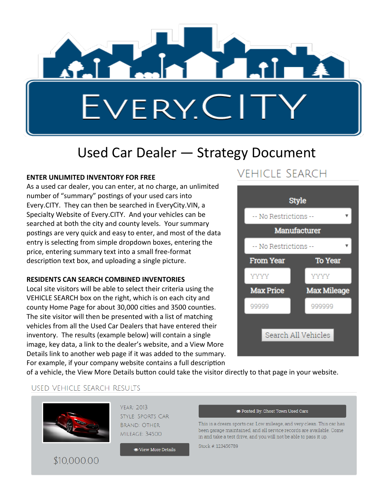

## Used Car Dealer — Strategy Document

#### **ENTER UNLIMITED INVENTORY FOR FREE**

As a used car dealer, you can enter, at no charge, an unlimited number of "summary" postings of your used cars into Every.CITY. They can then be searched in EveryCity.VIN, a Specialty Website of Every.CITY. And your vehicles can be searched at both the city and county levels. Your summary postings are very quick and easy to enter, and most of the data entry is selecting from simple dropdown boxes, entering the price, entering summary text into a small free-format description text box, and uploading a single picture.

#### **RESIDENTS CAN SEARCH COMBINED INVENTORIES**

Local site visitors will be able to select their criteria using the VEHICLE SEARCH box on the right, which is on each city and county Home Page for about 30,000 cities and 3500 counties. The site visitor will then be presented with a list of matching vehicles from all the Used Car Dealers that have entered their inventory. The results (example below) will contain a single image, key data, a link to the dealer's website, and a View More Details link to another web page if it was added to the summary. For example, if your company website contains a full description

### **VEHICLE SEARCH**



of a vehicle, the View More Details button could take the visitor directly to that page in your website.

#### USED VEHICLE SEARCH RESULTS

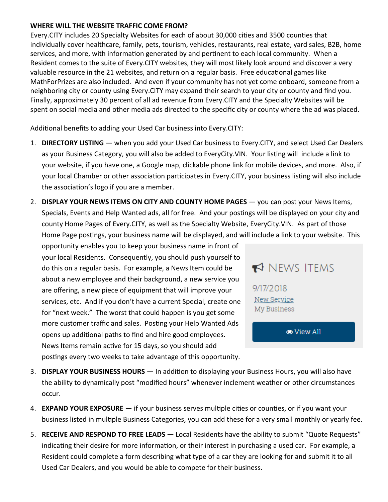#### **WHERE WILL THE WEBSITE TRAFFIC COME FROM?**

Every.CITY includes 20 Specialty Websites for each of about 30,000 cities and 3500 counties that individually cover healthcare, family, pets, tourism, vehicles, restaurants, real estate, yard sales, B2B, home services, and more, with information generated by and pertinent to each local community. When a Resident comes to the suite of Every.CITY websites, they will most likely look around and discover a very valuable resource in the 21 websites, and return on a regular basis. Free educational games like MathForPrizes are also included. And even if your community has not yet come onboard, someone from a neighboring city or county using Every.CITY may expand their search to your city or county and find you. Finally, approximately 30 percent of all ad revenue from Every.CITY and the Specialty Websites will be spent on social media and other media ads directed to the specific city or county where the ad was placed.

Additional benefits to adding your Used Car business into Every.CITY:

- 1. **DIRECTORY LISTING**  when you add your Used Car business to Every.CITY, and select Used Car Dealers as your Business Category, you will also be added to EveryCity.VIN. Your listing will include a link to your website, if you have one, a Google map, clickable phone link for mobile devices, and more. Also, if your local Chamber or other association participates in Every.CITY, your business listing will also include the association's logo if you are a member.
- 2. **DISPLAY YOUR NEWS ITEMS ON CITY AND COUNTY HOME PAGES** you can post your News Items, Specials, Events and Help Wanted ads, all for free. And your postings will be displayed on your city and county Home Pages of Every.CITY, as well as the Specialty Website, EveryCity.VIN. As part of those Home Page postings, your business name will be displayed, and will include a link to your website. This

opportunity enables you to keep your business name in front of your local Residents. Consequently, you should push yourself to do this on a regular basis. For example, a News Item could be about a new employee and their background, a new service you are offering, a new piece of equipment that will improve your services, etc. And if you don't have a current Special, create one for "next week." The worst that could happen is you get some more customer traffic and sales. Posting your Help Wanted Ads opens up additional paths to find and hire good employees. News Items remain active for 15 days, so you should add postings every two weeks to take advantage of this opportunity.

## NEWS ITEMS

9/17/2018 New Service My Business

**O** View All

- 3. **DISPLAY YOUR BUSINESS HOURS**  In addition to displaying your Business Hours, you will also have the ability to dynamically post "modified hours" whenever inclement weather or other circumstances occur.
- 4. **EXPAND YOUR EXPOSURE** if your business serves multiple cities or counties, or if you want your business listed in multiple Business Categories, you can add these for a very small monthly or yearly fee.
- 5. **RECEIVE AND RESPOND TO FREE LEADS —** Local Residents have the ability to submit "Quote Requests" indicating their desire for more information, or their interest in purchasing a used car. For example, a Resident could complete a form describing what type of a car they are looking for and submit it to all Used Car Dealers, and you would be able to compete for their business.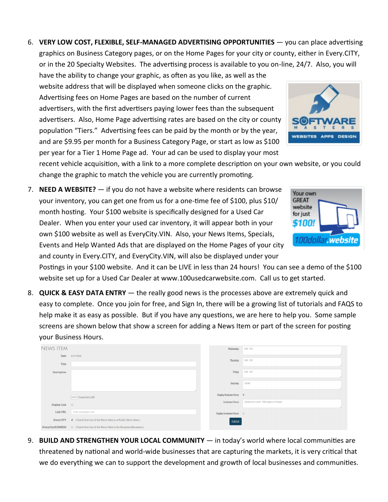6. **VERY LOW COST, FLEXIBLE, SELF-MANAGED ADVERTISING OPPORTUNITIES** — you can place advertising graphics on Business Category pages, or on the Home Pages for your city or county, either in Every.CITY, or in the 20 Specialty Websites. The advertising process is available to you on-line, 24/7. Also, you will

have the ability to change your graphic, as often as you like, as well as the website address that will be displayed when someone clicks on the graphic. Advertising fees on Home Pages are based on the number of current advertisers, with the first advertisers paying lower fees than the subsequent advertisers. Also, Home Page advertising rates are based on the city or county population "Tiers." Advertising fees can be paid by the month or by the year, and are \$9.95 per month for a Business Category Page, or start as low as \$100 per year for a Tier 1 Home Page ad. Your ad can be used to display your most

recent vehicle acquisition, with a link to a more complete description on your own website, or you could change the graphic to match the vehicle you are currently promoting.

7. **NEED A WEBSITE?** — if you do not have a website where residents can browse your inventory, you can get one from us for a one-time fee of \$100, plus \$10/ month hosting. Your \$100 website is specifically designed for a Used Car Dealer. When you enter your used car inventory, it will appear both in your own \$100 website as well as EveryCity.VIN. Also, your News Items, Specials, Events and Help Wanted Ads that are displayed on the Home Pages of your city and county in Every.CITY, and EveryCity.VIN, will also be displayed under your

Postings in your \$100 website. And it can be LIVE in less than 24 hours! You can see a demo of the \$100 website set up for a Used Car Dealer at www.100usedcarwebsite.com. Call us to get started.

8. **QUICK & EASY DATA ENTRY** — the really good news is the processes above are extremely quick and easy to complete. Once you join for free, and Sign In, there will be a growing list of tutorials and FAQS to help make it as easy as possible. But if you have any questions, we are here to help you. Some sample screens are shown below that show a screen for adding a News Item or part of the screen for posting your Business Hours.

| <b>NEWS ITEM</b>   |                                                                      | Wednesday                          | $9.00 - 5.00$                               |
|--------------------|----------------------------------------------------------------------|------------------------------------|---------------------------------------------|
| Date<br>Title      | 9/17/2018                                                            | Thursday                           | $9.00 - 5.00$                               |
| Description        |                                                                      | Friday                             | $9:00 - 5:00$                               |
|                    |                                                                      | Saturday                           | Closed                                      |
|                    | 1000 characters left                                                 | Display Business Hours 2           |                                             |
| Display Link       | $\qquad \qquad \boxdot$                                              | <b>Inclement Hours</b>             | Closed due to snow. Will reopen on Tuesday. |
| Link URL           | http://example.com                                                   | Display Inclement Hours <b>III</b> |                                             |
| Every.CITY         | $\boxtimes$ (Check this box if the News Item is a Public News Item.) | Submit                             |                                             |
| EveryCity.BUSINESS | □ (Check this box if the News Item is for Business2Business.)        |                                    |                                             |

9. **BUILD AND STRENGTHEN YOUR LOCAL COMMUNITY** — in today's world where local communities are threatened by national and world-wide businesses that are capturing the markets, it is very critical that we do everything we can to support the development and growth of local businesses and communities.